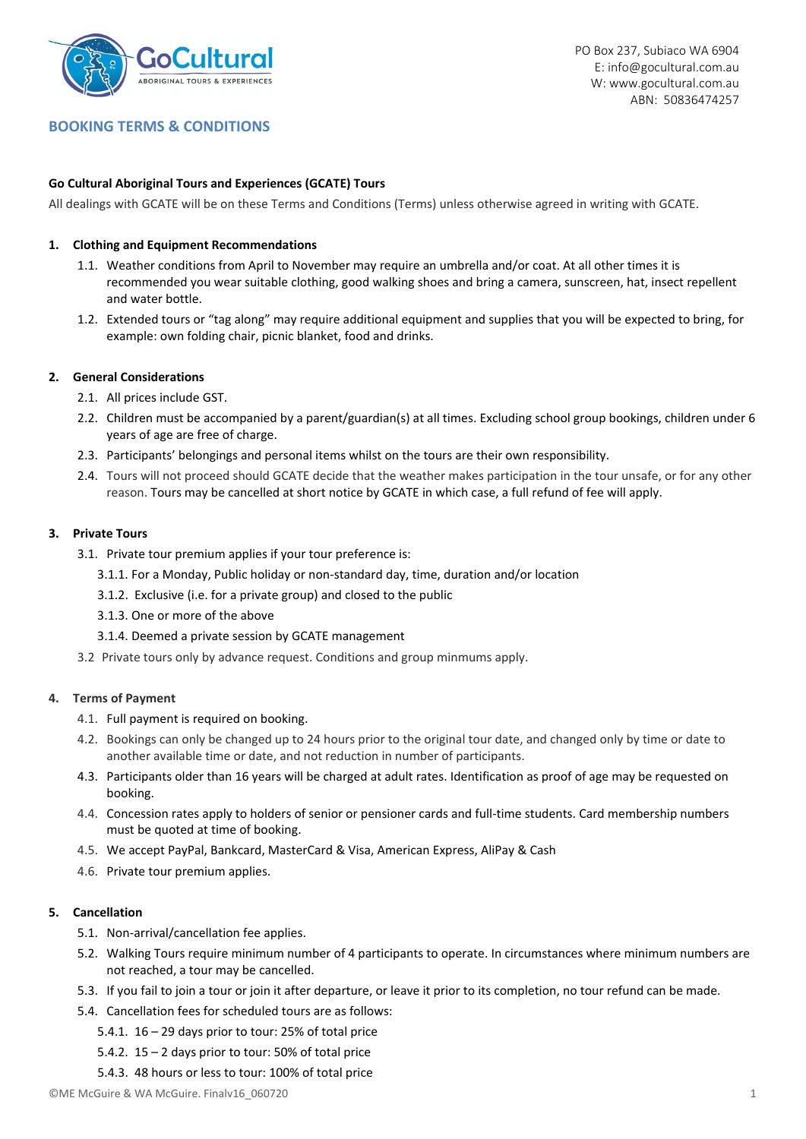

# **BOOKING TERMS & CONDITIONS**

## **Go Cultural Aboriginal Tours and Experiences (GCATE) Tours**

All dealings with GCATE will be on these Terms and Conditions (Terms) unless otherwise agreed in writing with GCATE.

### **1. Clothing and Equipment Recommendations**

- 1.1. Weather conditions from April to November may require an umbrella and/or coat. At all other times it is recommended you wear suitable clothing, good walking shoes and bring a camera, sunscreen, hat, insect repellent and water bottle.
- 1.2. Extended tours or "tag along" may require additional equipment and supplies that you will be expected to bring, for example: own folding chair, picnic blanket, food and drinks.

#### **2. General Considerations**

- 2.1. All prices include GST.
- 2.2. Children must be accompanied by a parent/guardian(s) at all times. Excluding school group bookings, children under 6 years of age are free of charge.
- 2.3. Participants' belongings and personal items whilst on the tours are their own responsibility.
- 2.4. Tours will not proceed should GCATE decide that the weather makes participation in the tour unsafe, or for any other reason. Tours may be cancelled at short notice by GCATE in which case, a full refund of fee will apply.

#### **3. Private Tours**

- 3.1. Private tour premium applies if your tour preference is:
	- 3.1.1. For a Monday, Public holiday or non‐standard day, time, duration and/or location
	- 3.1.2. Exclusive (i.e. for a private group) and closed to the public
	- 3.1.3. One or more of the above
	- 3.1.4. Deemed a private session by GCATE management
- 3.2 Private tours only by advance request. Conditions and group minmums apply.

### **4. Terms of Payment**

- 4.1. Full payment is required on booking.
- 4.2. Bookings can only be changed up to 24 hours prior to the original tour date, and changed only by time or date to another available time or date, and not reduction in number of participants.
- 4.3. Participants older than 16 years will be charged at adult rates. Identification as proof of age may be requested on booking.
- 4.4. Concession rates apply to holders of senior or pensioner cards and full-time students. Card membership numbers must be quoted at time of booking.
- 4.5. We accept PayPal, Bankcard, MasterCard & Visa, American Express, AliPay & Cash
- 4.6. Private tour premium applies.

### **5. Cancellation**

- 5.1. Non-arrival/cancellation fee applies.
- 5.2. Walking Tours require minimum number of 4 participants to operate. In circumstances where minimum numbers are not reached, a tour may be cancelled.
- 5.3. If you fail to join a tour or join it after departure, or leave it prior to its completion, no tour refund can be made.
- 5.4. Cancellation fees for scheduled tours are as follows:
	- 5.4.1.  $16 29$  days prior to tour: 25% of total price
	- 5.4.2. 15 2 days prior to tour: 50% of total price
	- 5.4.3. 48 hours or less to tour: 100% of total price